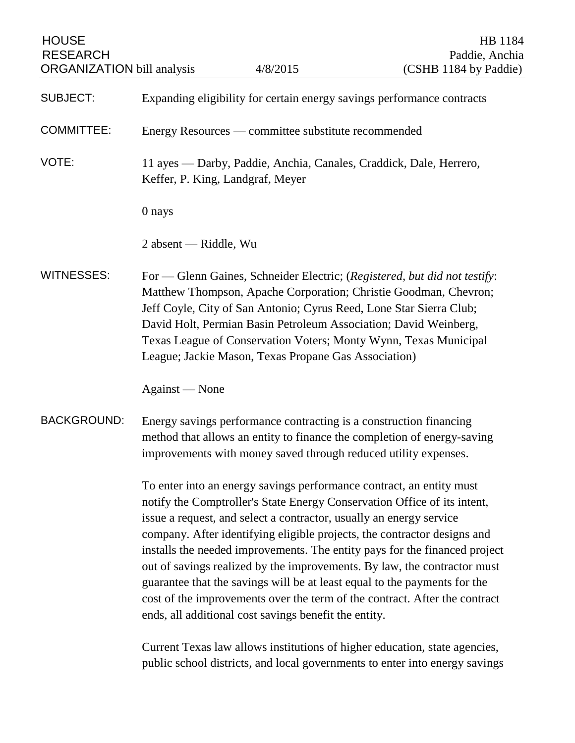| <b>HOUSE</b><br><b>RESEARCH</b><br><b>ORGANIZATION bill analysis</b> |                                                                                                                                                                                                                                                                                                                                                                                                                                                                                                                                                                                                                                                                                                                                                                 | 4/8/2015                                                                                                                                                                                        | HB 1184<br>Paddie, Anchia<br>(CSHB 1184 by Paddie)                                                                                                                                                                |
|----------------------------------------------------------------------|-----------------------------------------------------------------------------------------------------------------------------------------------------------------------------------------------------------------------------------------------------------------------------------------------------------------------------------------------------------------------------------------------------------------------------------------------------------------------------------------------------------------------------------------------------------------------------------------------------------------------------------------------------------------------------------------------------------------------------------------------------------------|-------------------------------------------------------------------------------------------------------------------------------------------------------------------------------------------------|-------------------------------------------------------------------------------------------------------------------------------------------------------------------------------------------------------------------|
| <b>SUBJECT:</b>                                                      |                                                                                                                                                                                                                                                                                                                                                                                                                                                                                                                                                                                                                                                                                                                                                                 |                                                                                                                                                                                                 | Expanding eligibility for certain energy savings performance contracts                                                                                                                                            |
| <b>COMMITTEE:</b>                                                    | Energy Resources — committee substitute recommended                                                                                                                                                                                                                                                                                                                                                                                                                                                                                                                                                                                                                                                                                                             |                                                                                                                                                                                                 |                                                                                                                                                                                                                   |
| VOTE:                                                                | 11 ayes — Darby, Paddie, Anchia, Canales, Craddick, Dale, Herrero,<br>Keffer, P. King, Landgraf, Meyer                                                                                                                                                                                                                                                                                                                                                                                                                                                                                                                                                                                                                                                          |                                                                                                                                                                                                 |                                                                                                                                                                                                                   |
|                                                                      | 0 nays                                                                                                                                                                                                                                                                                                                                                                                                                                                                                                                                                                                                                                                                                                                                                          |                                                                                                                                                                                                 |                                                                                                                                                                                                                   |
|                                                                      | 2 absent — Riddle, Wu                                                                                                                                                                                                                                                                                                                                                                                                                                                                                                                                                                                                                                                                                                                                           |                                                                                                                                                                                                 |                                                                                                                                                                                                                   |
| <b>WITNESSES:</b>                                                    |                                                                                                                                                                                                                                                                                                                                                                                                                                                                                                                                                                                                                                                                                                                                                                 | Jeff Coyle, City of San Antonio; Cyrus Reed, Lone Star Sierra Club;<br>David Holt, Permian Basin Petroleum Association; David Weinberg,<br>League; Jackie Mason, Texas Propane Gas Association) | For — Glenn Gaines, Schneider Electric; (Registered, but did not testify:<br>Matthew Thompson, Apache Corporation; Christie Goodman, Chevron;<br>Texas League of Conservation Voters; Monty Wynn, Texas Municipal |
|                                                                      | Against — None                                                                                                                                                                                                                                                                                                                                                                                                                                                                                                                                                                                                                                                                                                                                                  |                                                                                                                                                                                                 |                                                                                                                                                                                                                   |
| <b>BACKGROUND:</b>                                                   | Energy savings performance contracting is a construction financing<br>method that allows an entity to finance the completion of energy-saving<br>improvements with money saved through reduced utility expenses.                                                                                                                                                                                                                                                                                                                                                                                                                                                                                                                                                |                                                                                                                                                                                                 |                                                                                                                                                                                                                   |
|                                                                      | To enter into an energy savings performance contract, an entity must<br>notify the Comptroller's State Energy Conservation Office of its intent,<br>issue a request, and select a contractor, usually an energy service<br>company. After identifying eligible projects, the contractor designs and<br>installs the needed improvements. The entity pays for the financed project<br>out of savings realized by the improvements. By law, the contractor must<br>guarantee that the savings will be at least equal to the payments for the<br>cost of the improvements over the term of the contract. After the contract<br>ends, all additional cost savings benefit the entity.<br>Current Texas law allows institutions of higher education, state agencies, |                                                                                                                                                                                                 |                                                                                                                                                                                                                   |
|                                                                      |                                                                                                                                                                                                                                                                                                                                                                                                                                                                                                                                                                                                                                                                                                                                                                 |                                                                                                                                                                                                 | public school districts, and local governments to enter into energy savings                                                                                                                                       |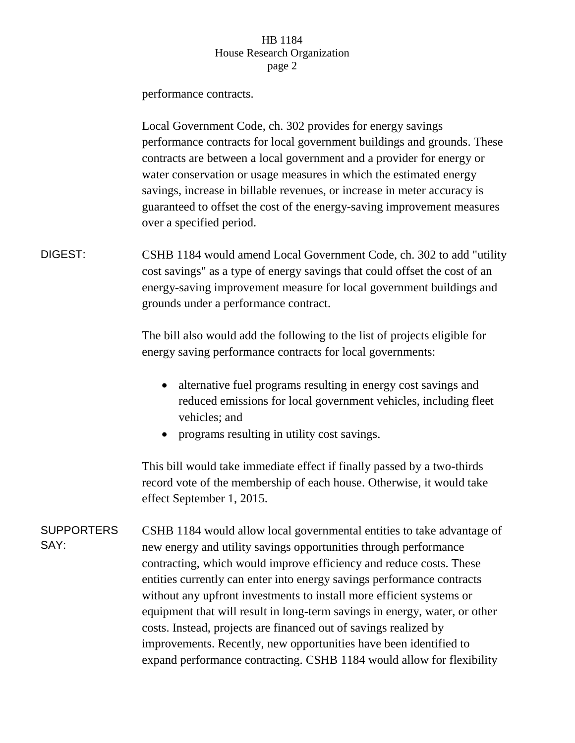## HB 1184 House Research Organization page 2

performance contracts.

Local Government Code, ch. 302 provides for energy savings performance contracts for local government buildings and grounds. These contracts are between a local government and a provider for energy or water conservation or usage measures in which the estimated energy savings, increase in billable revenues, or increase in meter accuracy is guaranteed to offset the cost of the energy-saving improvement measures over a specified period.

DIGEST: CSHB 1184 would amend Local Government Code, ch. 302 to add "utility cost savings" as a type of energy savings that could offset the cost of an energy-saving improvement measure for local government buildings and grounds under a performance contract.

> The bill also would add the following to the list of projects eligible for energy saving performance contracts for local governments:

- alternative fuel programs resulting in energy cost savings and reduced emissions for local government vehicles, including fleet vehicles; and
- programs resulting in utility cost savings.

This bill would take immediate effect if finally passed by a two-thirds record vote of the membership of each house. Otherwise, it would take effect September 1, 2015.

**SUPPORTERS** SAY: CSHB 1184 would allow local governmental entities to take advantage of new energy and utility savings opportunities through performance contracting, which would improve efficiency and reduce costs. These entities currently can enter into energy savings performance contracts without any upfront investments to install more efficient systems or equipment that will result in long-term savings in energy, water, or other costs. Instead, projects are financed out of savings realized by improvements. Recently, new opportunities have been identified to expand performance contracting. CSHB 1184 would allow for flexibility